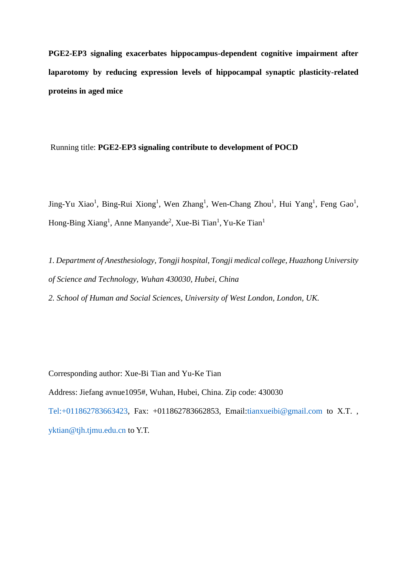**PGE2-EP3 signaling exacerbates hippocampus-dependent cognitive impairment after laparotomy by reducing expression levels of hippocampal synaptic plasticity-related proteins in aged mice** 

Running title: **PGE2-EP3 signaling contribute to development of POCD**

Jing-Yu Xiao<sup>1</sup>, Bing-Rui Xiong<sup>1</sup>, Wen Zhang<sup>1</sup>, Wen-Chang Zhou<sup>1</sup>, Hui Yang<sup>1</sup>, Feng Gao<sup>1</sup>, Hong-Bing Xiang<sup>1</sup>, Anne Manyande<sup>2</sup>, Xue-Bi Tian<sup>1</sup>, Yu-Ke Tian<sup>1</sup>

*1. Department of Anesthesiology, Tongji hospital, Tongji medical college, Huazhong University of Science and Technology, Wuhan 430030, Hubei, China*

*2. School of Human and Social Sciences, University of West London, London, UK.*

Corresponding author: Xue-Bi Tian and Yu-Ke Tian Address: Jiefang avnue1095#, Wuhan, Hubei, China. Zip code: 430030 [Tel:+011862783663423,](tel:+011862783663423) Fax: +011862783662853, Email[:tianxueibi@gmail.com](mailto:tianxueibi@gmail.com) to X.T. , [yktian@tjh.tjmu.edu.cn](mailto:yktian@tjh.tjmu.edu.cn) to Y.T.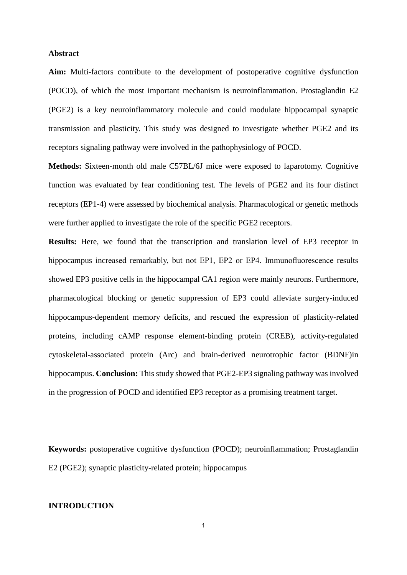#### **Abstract**

**Aim:** Multi-factors contribute to the development of postoperative cognitive dysfunction (POCD), of which the most important mechanism is neuroinflammation. Prostaglandin E2 (PGE2) is a key neuroinflammatory molecule and could modulate hippocampal synaptic transmission and plasticity. This study was designed to investigate whether PGE2 and its receptors signaling pathway were involved in the pathophysiology of POCD.

**Methods:** Sixteen-month old male C57BL/6J mice were exposed to laparotomy. Cognitive function was evaluated by fear conditioning test. The levels of PGE2 and its four distinct receptors (EP1-4) were assessed by [biochemical](javascript:void(0);) [analysis.](javascript:void(0);) Pharmacological or genetic methods were further applied to investigate the role of the specific PGE2 receptors.

**Results:** Here, we found that the transcription and translation level of EP3 receptor in hippocampus increased remarkably, but not EP1, EP2 or EP4. Immunofluorescence results showed EP3 positive cells in the hippocampal CA1 region were mainly neurons. Furthermore, pharmacological blocking or genetic suppression of EP3 could alleviate surgery-induced hippocampus-dependent memory deficits, and rescued the expression of plasticity-related proteins, including cAMP response element-binding protein (CREB), activity-regulated cytoskeletal-associated protein (Arc) and brain-derived neurotrophic factor (BDNF)in hippocampus. **Conclusion:** This study showed that PGE2-EP3 signaling pathway was involved in the progression of POCD and identified EP3 receptor as a promising treatment target.

**Keywords:** postoperative cognitive dysfunction (POCD); neuroinflammation; Prostaglandin E2 (PGE2); synaptic plasticity-related protein; hippocampus

### **INTRODUCTION**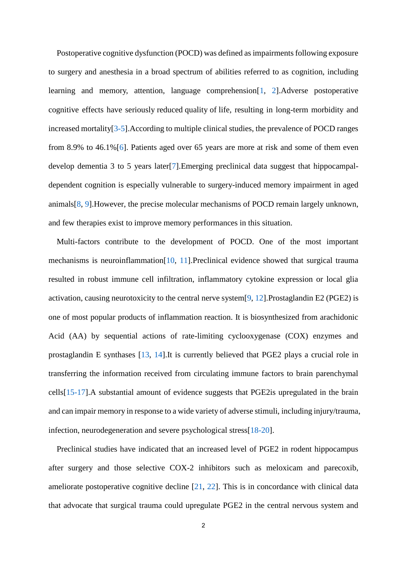Postoperative cognitive dysfunction (POCD) was defined as impairments following exposure to surgery and anesthesia in a broad spectrum of abilities referred to as cognition, including learning and memory, attention, language comprehension[\[1,](#page-17-0) [2\]](#page-17-1).Adverse postoperative cognitive effects have seriously reduced quality of life, resulting in long-term morbidity and increased mortality[\[3-5\]](#page-17-2).According to multiple clinical studies, the prevalence of POCD ranges from 8.9% to 46.1%[\[6\]](#page-17-3). Patients aged over 65 years are more at risk and some of them even develop dementia 3 to 5 years later[\[7\]](#page-17-4).Emerging preclinical data suggest that hippocampaldependent cognition is especially vulnerable to surgery-induced memory impairment in aged animals[\[8,](#page-17-5) [9\]](#page-17-6).However, the precise molecular mechanisms of POCD remain largely unknown, and few therapies exist to improve memory performances in this situation.

Multi-factors contribute to the development of POCD. One of the most important mechanisms is neuroinflammation[\[10,](#page-17-7) [11\]](#page-18-0).Preclinical evidence showed that surgical trauma resulted in robust immune cell infiltration, inflammatory cytokine expression or local glia activation, causing neurotoxicity to the central nerve system[\[9,](#page-17-6) [12\]](#page-18-1).Prostaglandin E2 (PGE2) is one of most popular products of inflammation reaction. It is biosynthesized from arachidonic Acid (AA) by sequential actions of rate-limiting cyclooxygenase (COX) enzymes and prostaglandin E synthases [\[13,](#page-18-2) [14\]](#page-18-3).It is currently believed that PGE2 plays a crucial role in transferring the information received from circulating immune factors to brain parenchymal cells[\[15-17\]](#page-18-4).A substantial amount of evidence suggests that PGE2is upregulated in the brain and can impair memory in response to a wide variety of adverse stimuli, including injury/trauma, infection, neurodegeneration and severe psychological stress[\[18-20\]](#page-18-5).

Preclinical studies have indicated that an increased level of PGE2 in rodent hippocampus after surgery and those selective COX-2 inhibitors such as meloxicam and parecoxib, ameliorate postoperative cognitive decline [\[21,](#page-18-6) [22\]](#page-19-0). This is in concordance with clinical data that advocate that surgical trauma could upregulate PGE2 in the central nervous system and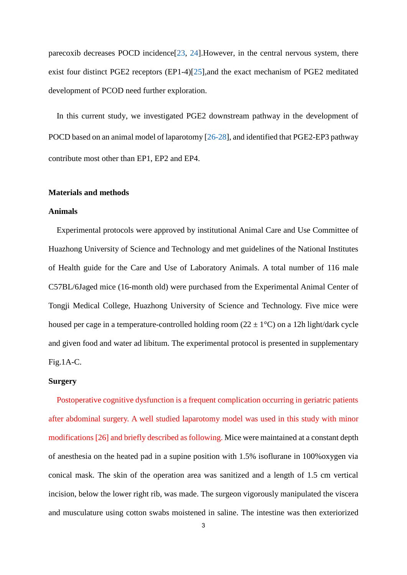parecoxib decreases POCD incidence[\[23,](#page-19-1) [24\]](#page-19-2).However, in the central nervous system, there exist four distinct PGE2 receptors (EP1-4)[\[25\]](#page-19-3),and the exact mechanism of PGE2 meditated development of PCOD need further exploration.

In this current study, we investigated PGE2 downstream pathway in the development of POCD based on an animal model of laparotomy [\[26-28\]](#page-19-4), and identified that PGE2-EP3 pathway contribute most other than EP1, EP2 and EP4.

### **Materials and methods**

#### **Animals**

Experimental protocols were approved by institutional Animal Care and Use Committee of Huazhong University of Science and Technology and met guidelines of the National Institutes of Health guide for the Care and Use of Laboratory Animals. A total number of 116 male C57BL/6Jaged mice (16-month old) were purchased from the Experimental Animal Center of Tongji Medical College, Huazhong University of Science and Technology. Five mice were housed per cage in a temperature-controlled holding room ( $22 \pm 1$ °C) on a 12h light/dark cycle and given food and water ad libitum. The experimental protocol is presented in supplementary Fig.1A-C.

#### **Surgery**

Postoperative cognitive dysfunction is a frequent complication occurring in geriatric patients after abdominal surgery. A well studied laparotomy model was used in this study with minor modifications [\[26\]](#page-19-4) and briefly described as following. Mice were maintained at a constant depth of anesthesia on the heated pad in a supine position with 1.5% isoflurane in 100%oxygen via conical mask. The skin of the operation area was sanitized and a length of 1.5 cm vertical incision, below the lower right rib, was made. The surgeon vigorously manipulated the viscera and musculature using cotton swabs moistened in saline. The intestine was then exteriorized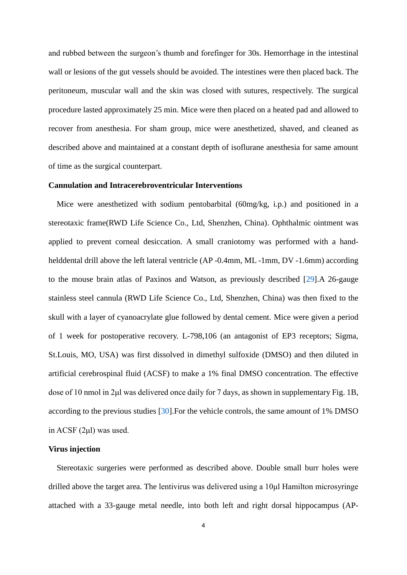and rubbed between the surgeon's thumb and forefinger for 30s. Hemorrhage in the intestinal wall or lesions of the gut vessels should be avoided. The intestines were then placed back. The peritoneum, muscular wall and the skin was closed with sutures, respectively. The surgical procedure lasted approximately 25 min. Mice were then placed on a heated pad and allowed to recover from anesthesia. For sham group, mice were anesthetized, shaved, and cleaned as described above and maintained at a constant depth of isoflurane anesthesia for same amount of time as the surgical counterpart.

### **Cannulation and Intracerebroventricular Interventions**

Mice were anesthetized with sodium pentobarbital (60mg/kg, i.p.) and positioned in a stereotaxic frame(RWD Life Science Co., Ltd, Shenzhen, China). Ophthalmic ointment was applied to prevent corneal desiccation. A small craniotomy was performed with a handhelddental drill above the left lateral ventricle (AP -0.4mm, ML -1mm, DV -1.6mm) according to the mouse brain atlas of Paxinos and Watson, as previously described [\[29\]](#page-19-5).A 26-gauge stainless steel cannula (RWD Life Science Co., Ltd, Shenzhen, China) was then fixed to the skull with a layer of cyanoacrylate glue followed by dental cement. Mice were given a period of 1 week for postoperative recovery. L-798,106 (an antagonist of EP3 receptors; Sigma, St.Louis, MO, USA) was first dissolved in dimethyl sulfoxide (DMSO) and then diluted in artificial cerebrospinal fluid (ACSF) to make a 1% final DMSO concentration. The effective dose of 10 nmol in 2μl was delivered once daily for 7 days, as shown in supplementary Fig. 1B, according to the previous studies [\[30\]](#page-19-6).For the vehicle controls, the same amount of 1% DMSO in ACSF (2μl) was used.

#### **Virus injection**

Stereotaxic surgeries were performed as described above. Double small burr holes were drilled above the target area. The lentivirus was delivered using a 10μl Hamilton microsyringe attached with a 33-gauge metal needle, into both left and right dorsal hippocampus (AP-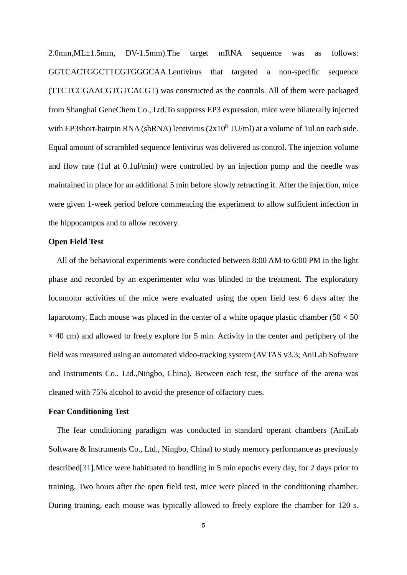2.0mm,ML±1.5mm, DV-1.5mm).The target mRNA sequence was as follows: GGTCACTGGCTTCGTGGGCAA.Lentivirus that targeted a non-specific sequence (TTCTCCGAACGTGTCACGT) was constructed as the controls. All of them were packaged from Shanghai GeneChem Co., Ltd.To suppress EP3 expression, mice were bilaterally injected with EP3short-hairpin RNA (shRNA) lentivirus  $(2x10<sup>8</sup> TU/ml)$  at a volume of 1ul on each side. Equal amount of scrambled sequence lentivirus was delivered as control. The injection volume and flow rate (1ul at 0.1ul/min) were controlled by an injection pump and the needle was maintained in place for an additional 5 min before slowly retracting it. After the injection, mice were given 1-week period before commencing the experiment to allow sufficient infection in the hippocampus and to allow recovery.

#### **Open Field Test**

All of the behavioral experiments were conducted between 8:00 AM to 6:00 PM in the light phase and recorded by an experimenter who was blinded to the treatment. The exploratory locomotor activities of the mice were evaluated using the open field test 6 days after the laparotomy. Each mouse was placed in the center of a white opaque plastic chamber ( $50 \times 50$ )  $\times$  40 cm) and allowed to freely explore for 5 min. Activity in the center and periphery of the field was measured using an automated video-tracking system (AVTAS v3.3; AniLab Software and Instruments Co., Ltd.,Ningbo, China). Between each test, the surface of the arena was cleaned with 75% alcohol to avoid the presence of olfactory cues.

#### **Fear Conditioning Test**

The fear conditioning paradigm was conducted in standard operant chambers (AniLab Software & Instruments Co., Ltd., Ningbo, China) to study memory performance as previously described[\[31\]](#page-20-0).Mice were habituated to handling in 5 min epochs every day, for 2 days prior to training. Two hours after the open field test, mice were placed in the conditioning chamber. During training, each mouse was typically allowed to freely explore the chamber for 120 s.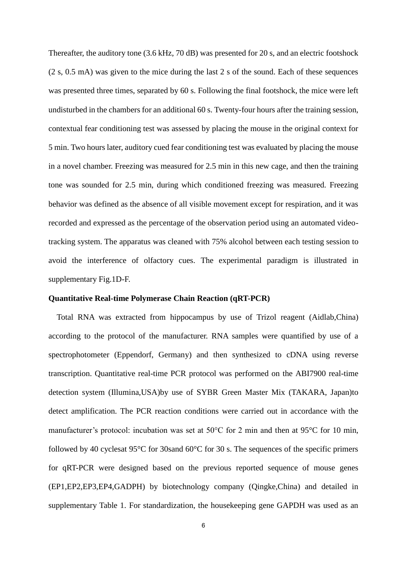Thereafter, the auditory tone (3.6 kHz, 70 dB) was presented for 20 s, and an electric footshock (2 s, 0.5 mA) was given to the mice during the last 2 s of the sound. Each of these sequences was presented three times, separated by 60 s. Following the final footshock, the mice were left undisturbed in the chambers for an additional 60 s. Twenty-four hours after the training session, contextual fear conditioning test was assessed by placing the mouse in the original context for 5 min. Two hours later, auditory cued fear conditioning test was evaluated by placing the mouse in a novel chamber. Freezing was measured for 2.5 min in this new cage, and then the training tone was sounded for 2.5 min, during which conditioned freezing was measured. Freezing behavior was defined as the absence of all visible movement except for respiration, and it was recorded and expressed as the percentage of the observation period using an automated videotracking system. The apparatus was cleaned with 75% alcohol between each testing session to avoid the interference of olfactory cues. The experimental paradigm is illustrated in supplementary Fig.1D-F.

### **Quantitative Real-time Polymerase Chain Reaction (qRT-PCR)**

Total RNA was extracted from hippocampus by use of Trizol reagent (Aidlab,China) according to the protocol of the manufacturer. RNA samples were quantified by use of a spectrophotometer (Eppendorf, Germany) and then synthesized to cDNA using reverse transcription. Quantitative real-time PCR protocol was performed on the ABI7900 real-time detection system (Illumina,USA)by use of SYBR Green Master Mix (TAKARA, Japan)to detect amplification. The PCR reaction conditions were carried out in accordance with the manufacturer's protocol: incubation was set at 50°C for 2 min and then at 95°C for 10 min, followed by 40 cyclesat 95°C for 30sand 60°C for 30 s. The sequences of the specific primers for qRT-PCR were designed based on the previous reported sequence of mouse genes (EP1,EP2,EP3,EP4,GADPH) by biotechnology company (Qingke,China) and detailed in supplementary Table 1. For standardization, the housekeeping gene GAPDH was used as an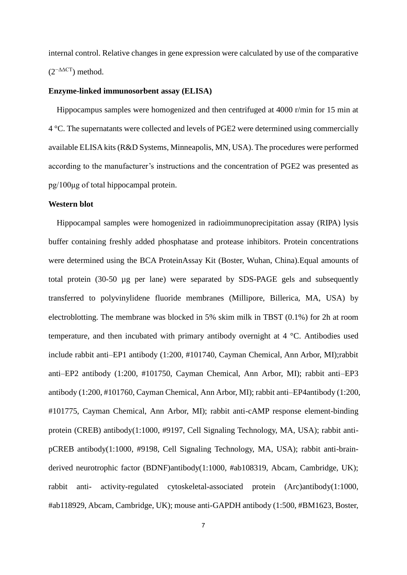internal control. Relative changes in gene expression were calculated by use of the comparative  $(2^{-ΔΔCT})$  method.

#### **Enzyme-linked immunosorbent assay (ELISA)**

Hippocampus samples were homogenized and then centrifuged at 4000 r/min for 15 min at 4 °C. The supernatants were collected and levels of PGE2 were determined using commercially available ELISA kits (R&D Systems, Minneapolis, MN, USA). The procedures were performed according to the manufacturer's instructions and the concentration of PGE2 was presented as pg/100μg of total hippocampal protein.

#### **Western blot**

Hippocampal samples were homogenized in radioimmunoprecipitation assay (RIPA) lysis buffer containing freshly added phosphatase and protease inhibitors. Protein concentrations were determined using the BCA ProteinAssay Kit (Boster, Wuhan, China).Equal amounts of total protein (30-50 µg per lane) were separated by SDS-PAGE gels and subsequently transferred to polyvinylidene fluoride membranes (Millipore, Billerica, MA, USA) by electroblotting. The membrane was blocked in 5% skim milk in TBST (0.1%) for 2h at room temperature, and then incubated with primary antibody overnight at 4 °C. Antibodies used include rabbit anti–EP1 antibody (1:200, #101740, Cayman Chemical, Ann Arbor, MI);rabbit anti–EP2 antibody (1:200, #101750, Cayman Chemical, Ann Arbor, MI); rabbit anti–EP3 antibody (1:200, #101760, Cayman Chemical, Ann Arbor, MI); rabbit anti–EP4antibody (1:200, #101775, Cayman Chemical, Ann Arbor, MI); rabbit anti-cAMP response element-binding protein (CREB) antibody(1:1000, #9197, Cell Signaling Technology, MA, USA); rabbit antipCREB antibody(1:1000, #9198, Cell Signaling Technology, MA, USA); rabbit anti-brainderived neurotrophic factor (BDNF)antibody(1:1000, #ab108319, Abcam, Cambridge, UK); rabbit anti- activity-regulated cytoskeletal-associated protein (Arc)antibody(1:1000, #ab118929, Abcam, Cambridge, UK); mouse anti-GAPDH antibody (1:500, #BM1623, Boster,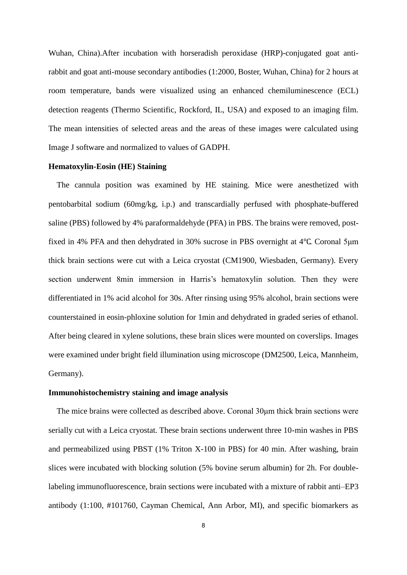Wuhan, China).After incubation with horseradish peroxidase (HRP)-conjugated goat antirabbit and goat anti-mouse secondary antibodies (1:2000, Boster, Wuhan, China) for 2 hours at room temperature, bands were visualized using an enhanced chemiluminescence (ECL) detection reagents (Thermo Scientific, Rockford, IL, USA) and exposed to an imaging film. The mean intensities of selected areas and the areas of these images were calculated using Image J software and normalized to values of GADPH.

#### **Hematoxylin-Eosin (HE) Staining**

The cannula position was examined by HE staining. Mice were anesthetized with pentobarbital sodium (60mg/kg, i.p.) and transcardially perfused with phosphate-buffered saline (PBS) followed by 4% paraformaldehyde (PFA) in PBS. The brains were removed, postfixed in 4% PFA and then dehydrated in 30% sucrose in PBS overnight at 4℃. Coronal 5μm thick brain sections were cut with a Leica cryostat (CM1900, Wiesbaden, Germany). Every section underwent 8min immersion in Harris's hematoxylin solution. Then they were differentiated in 1% acid alcohol for 30s. After rinsing using 95% alcohol, brain sections were counterstained in eosin-phloxine solution for 1min and dehydrated in graded series of ethanol. After being cleared in xylene solutions, these brain slices were mounted on coverslips. Images were examined under bright field illumination using microscope (DM2500, Leica, Mannheim, Germany).

### **Immunohistochemistry staining and image analysis**

The mice brains were collected as described above. Coronal 30μm thick brain sections were serially cut with a Leica cryostat. These brain sections underwent three 10-min washes in PBS and permeabilized using PBST (1% Triton X-100 in PBS) for 40 min. After washing, brain slices were incubated with blocking solution (5% bovine serum albumin) for 2h. For doublelabeling immunofluorescence, brain sections were incubated with a mixture of rabbit anti–EP3 antibody (1:100, #101760, Cayman Chemical, Ann Arbor, MI), and specific biomarkers as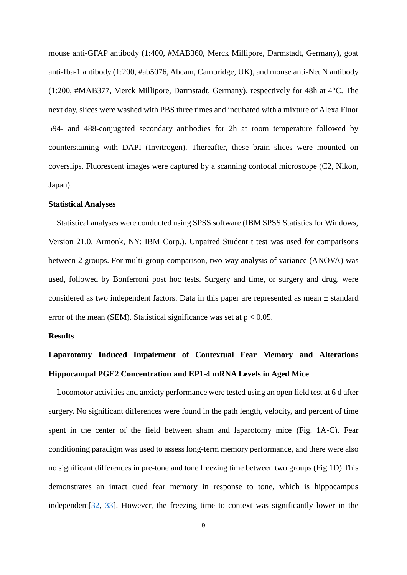mouse anti-GFAP antibody (1:400, #MAB360, Merck Millipore, Darmstadt, Germany), goat anti-Iba-1 antibody (1:200, #ab5076, Abcam, Cambridge, UK), and mouse anti-NeuN antibody (1:200, #MAB377, Merck Millipore, Darmstadt, Germany), respectively for 48h at 4°C. The next day, slices were washed with PBS three times and incubated with a mixture of Alexa Fluor 594- and 488-conjugated secondary antibodies for 2h at room temperature followed by counterstaining with DAPI (Invitrogen). Thereafter, these brain slices were mounted on coverslips. Fluorescent images were captured by a scanning confocal microscope (C2, Nikon, Japan).

#### **Statistical Analyses**

Statistical analyses were conducted using SPSS software (IBM SPSS Statistics for Windows, Version 21.0. Armonk, NY: IBM Corp.). Unpaired Student t test was used for comparisons between 2 groups. For multi-group comparison, two-way analysis of variance (ANOVA) was used, followed by Bonferroni post hoc tests. Surgery and time, or surgery and drug, were considered as two independent factors. Data in this paper are represented as mean ± standard error of the mean (SEM). Statistical significance was set at  $p < 0.05$ .

### **Results**

# **Laparotomy Induced Impairment of Contextual Fear Memory and Alterations Hippocampal PGE2 Concentration and EP1-4 mRNA Levels in Aged Mice**

Locomotor activities and anxiety performance were tested using an open field test at 6 d after surgery. No significant differences were found in the path length, velocity, and percent of time spent in the center of the field between sham and laparotomy mice (Fig. 1A-C). Fear conditioning paradigm was used to assess long-term memory performance, and there were also no significant differences in pre-tone and tone freezing time between two groups (Fig.1D).This demonstrates an intact cued fear memory in response to tone, which is hippocampus independent[\[32,](#page-20-1) [33\]](#page-20-2). However, the freezing time to context was significantly lower in the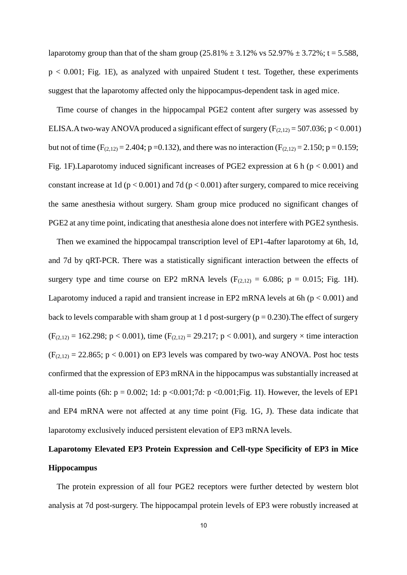laparotomy group than that of the sham group  $(25.81\% \pm 3.12\% \text{ vs } 52.97\% \pm 3.72\% \text{ ; } t = 5.588,$  $p < 0.001$ ; Fig. 1E), as analyzed with unpaired Student t test. Together, these experiments suggest that the laparotomy affected only the hippocampus-dependent task in aged mice.

Time course of changes in the hippocampal PGE2 content after surgery was assessed by ELISA.A two-way ANOVA produced a significant effect of surgery ( $F_{(2,12)} = 507.036$ ; p < 0.001) but not of time (F<sub>(2,12)</sub> = 2.404; p = 0.132), and there was no interaction (F<sub>(2,12)</sub> = 2.150; p = 0.159; Fig. 1F). Laparotomy induced significant increases of PGE2 expression at 6 h ( $p < 0.001$ ) and constant increase at 1d ( $p < 0.001$ ) and 7d ( $p < 0.001$ ) after surgery, compared to mice receiving the same anesthesia without surgery. Sham group mice produced no significant changes of PGE2 at any time point, indicating that anesthesia alone does not interfere with PGE2 synthesis.

Then we examined the hippocampal transcription level of EP1-4after laparotomy at 6h, 1d, and 7d by qRT-PCR. There was a statistically significant interaction between the effects of surgery type and time course on EP2 mRNA levels  $(F<sub>(2,12)</sub> = 6.086; p = 0.015; Fig. 1H)$ . Laparotomy induced a rapid and transient increase in EP2 mRNA levels at 6h ( $p < 0.001$ ) and back to levels comparable with sham group at 1 d post-surgery ( $p = 0.230$ ). The effect of surgery  $(F_{(2,12)} = 162.298; p < 0.001)$ , time  $(F_{(2,12)} = 29.217; p < 0.001)$ , and surgery  $\times$  time interaction  $(F<sub>(2,12)</sub> = 22.865; p < 0.001)$  on EP3 levels was compared by two-way ANOVA. Post hoc tests confirmed that the expression of EP3 mRNA in the hippocampus was substantially increased at all-time points (6h:  $p = 0.002$ ; 1d:  $p < 0.001$ ; 7d:  $p < 0.001$ ; Fig. 1I). However, the levels of EP1 and EP4 mRNA were not affected at any time point (Fig. 1G, J). These data indicate that laparotomy exclusively induced persistent elevation of EP3 mRNA levels.

# **Laparotomy Elevated EP3 Protein Expression and Cell-type Specificity of EP3 in Mice Hippocampus**

The protein expression of all four PGE2 receptors were further detected by western blot analysis at 7d post-surgery. The hippocampal protein levels of EP3 were robustly increased at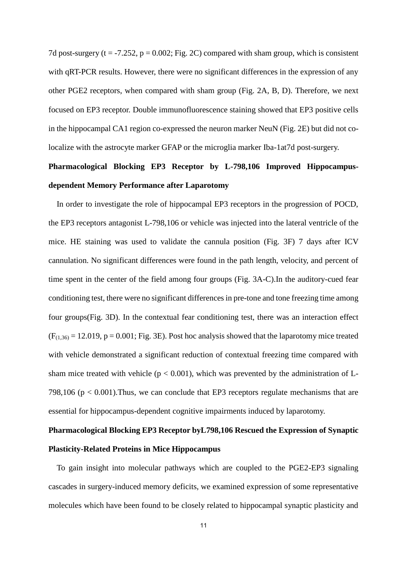7d post-surgery (t = -7.252, p = 0.002; Fig. 2C) compared with sham group, which is consistent with qRT-PCR results. However, there were no significant differences in the expression of any other PGE2 receptors, when compared with sham group (Fig. 2A, B, D). Therefore, we next focused on EP3 receptor. Double immunofluorescence staining showed that EP3 positive cells in the hippocampal CA1 region co-expressed the neuron marker NeuN (Fig. 2E) but did not colocalize with the astrocyte marker GFAP or the microglia marker Iba-1at7d post-surgery.

# **Pharmacological Blocking EP3 Receptor by L-798,106 Improved Hippocampusdependent Memory Performance after Laparotomy**

In order to investigate the role of hippocampal EP3 receptors in the progression of POCD, the EP3 receptors antagonist L-798,106 or vehicle was injected into the lateral ventricle of the mice. HE staining was used to validate the cannula position (Fig. 3F) 7 days after ICV cannulation. No significant differences were found in the path length, velocity, and percent of time spent in the center of the field among four groups (Fig. 3A-C).In the auditory-cued fear conditioning test, there were no significant differences in pre-tone and tone freezing time among four groups(Fig. 3D). In the contextual fear conditioning test, there was an interaction effect  $(F<sub>(1,36)</sub> = 12.019, p = 0.001; Fig. 3E)$ . Post hoc analysis showed that the laparotomy mice treated with vehicle demonstrated a significant reduction of contextual freezing time compared with sham mice treated with vehicle ( $p < 0.001$ ), which was prevented by the administration of L-798,106 ( $p < 0.001$ ). Thus, we can conclude that EP3 receptors regulate mechanisms that are essential for hippocampus-dependent cognitive impairments induced by laparotomy.

# **Pharmacological Blocking EP3 Receptor byL798,106 Rescued the Expression of Synaptic Plasticity-Related Proteins in Mice Hippocampus**

To gain insight into molecular pathways which are coupled to the PGE2-EP3 signaling cascades in surgery-induced memory deficits, we examined expression of some representative molecules which have been found to be closely related to hippocampal synaptic plasticity and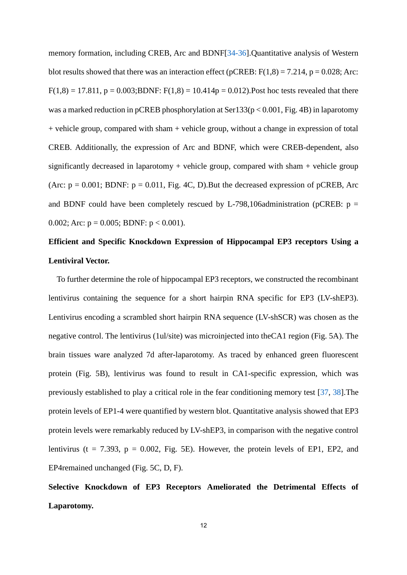memory formation, including CREB, Arc and BDNF[\[34-36\]](#page-20-3).Quantitative analysis of Western blot results showed that there was an interaction effect (pCREB:  $F(1,8) = 7.214$ , p = 0.028; Arc:  $F(1,8) = 17.811$ ,  $p = 0.003$ ; BDNF:  $F(1,8) = 10.414p = 0.012$ ). Post hoc tests revealed that there was a marked reduction in pCREB phosphorylation at  $\text{Ser133}(p < 0.001, \text{Fig. 4B})$  in laparotomy + vehicle group, compared with sham + vehicle group, without a change in expression of total CREB. Additionally, the expression of Arc and BDNF, which were CREB-dependent, also significantly decreased in laparotomy  $+$  vehicle group, compared with sham  $+$  vehicle group (Arc:  $p = 0.001$ ; BDNF:  $p = 0.011$ , Fig. 4C, D). But the decreased expression of pCREB, Arc and BDNF could have been completely rescued by L-798,106administration (pCREB:  $p =$ 0.002; Arc:  $p = 0.005$ ; BDNF:  $p < 0.001$ ).

# **Efficient and Specific Knockdown Expression of Hippocampal EP3 receptors Using a Lentiviral Vector.**

To further determine the role of hippocampal EP3 receptors, we constructed the recombinant lentivirus containing the sequence for a short hairpin RNA specific for EP3 (LV-shEP3). Lentivirus encoding a scrambled short hairpin RNA sequence (LV-shSCR) was chosen as the negative control. The lentivirus (1ul/site) was microinjected into theCA1 region (Fig. 5A). The brain tissues ware analyzed 7d after-laparotomy. As traced by enhanced green fluorescent protein (Fig. 5B), lentivirus was found to result in CA1-specific expression, which was previously established to play a critical role in the fear conditioning memory test [\[37,](#page-20-4) [38\]](#page-20-5).The protein levels of EP1-4 were quantified by western blot. Quantitative analysis showed that EP3 protein levels were remarkably reduced by LV-shEP3, in comparison with the negative control lentivirus (t = 7.393,  $p = 0.002$ , Fig. 5E). However, the protein levels of EP1, EP2, and EP4remained unchanged (Fig. 5C, D, F).

# **Selective Knockdown of EP3 Receptors Ameliorated the Detrimental Effects of Laparotomy.**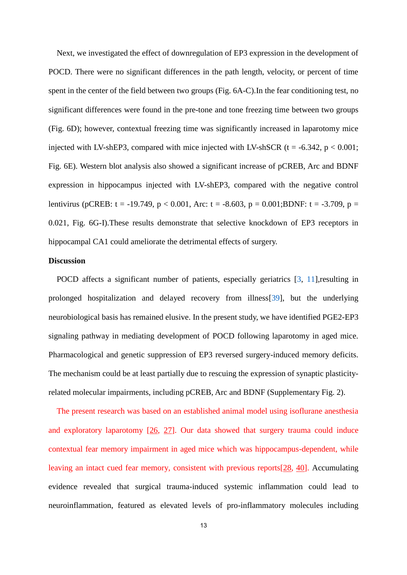Next, we investigated the effect of downregulation of EP3 expression in the development of POCD. There were no significant differences in the path length, velocity, or percent of time spent in the center of the field between two groups (Fig. 6A-C).In the fear conditioning test, no significant differences were found in the pre-tone and tone freezing time between two groups (Fig. 6D); however, contextual freezing time was significantly increased in laparotomy mice injected with LV-shEP3, compared with mice injected with LV-shSCR ( $t = -6.342$ ,  $p < 0.001$ ; Fig. 6E). Western blot analysis also showed a significant increase of pCREB, Arc and BDNF expression in hippocampus injected with LV-shEP3, compared with the negative control lentivirus (pCREB: t = -19.749, p < 0.001, Arc: t = -8.603, p = 0.001;BDNF: t = -3.709, p = 0.021, Fig. 6G-I).These results demonstrate that selective knockdown of EP3 receptors in hippocampal CA1 could ameliorate the detrimental effects of surgery.

#### **Discussion**

POCD affects a significant number of patients, especially geriatrics [\[3,](#page-17-2) [11\]](#page-18-0), resulting in prolonged hospitalization and delayed recovery from illness[\[39\]](#page-20-6), but the underlying neurobiological basis has remained elusive. In the present study, we have identified PGE2-EP3 signaling pathway in mediating development of POCD following laparotomy in aged mice. Pharmacological and genetic suppression of EP3 reversed surgery-induced memory deficits. The mechanism could be at least partially due to rescuing the expression of synaptic plasticityrelated molecular impairments, including pCREB, Arc and BDNF (Supplementary Fig. 2).

The present research was based on an established animal model using isoflurane anesthesia and exploratory laparotomy [\[26,](#page-19-4) [27\]](#page-19-7). Our data showed that surgery trauma could induce contextual fear memory impairment in aged mice which was hippocampus-dependent, while leaving an intact cued fear memory, consistent with previous reports[\[28,](#page-19-8) [40\]](#page-20-7). Accumulating evidence revealed that surgical trauma-induced systemic inflammation could lead to neuroinflammation, featured as elevated levels of pro-inflammatory molecules including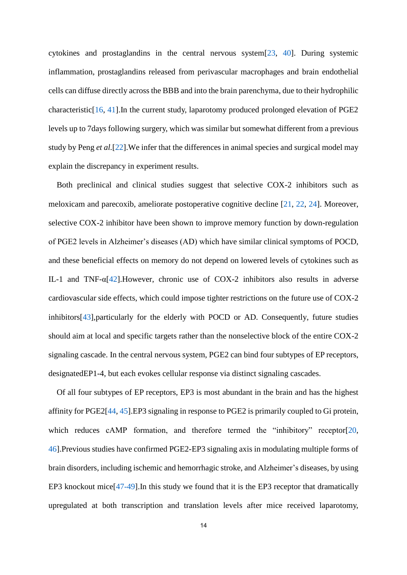cytokines and prostaglandins in the central nervous system[\[23,](#page-19-1) [40\]](#page-20-7). During systemic inflammation, prostaglandins released from perivascular macrophages and brain endothelial cells can diffuse directly across the BBB and into the brain parenchyma, due to their hydrophilic characteristic[\[16,](#page-18-7) [41\]](#page-20-8).In the current study, laparotomy produced prolonged elevation of PGE2 levels up to 7days following surgery, which was similar but somewhat different from a previous study by Peng *et al.*[\[22\]](#page-19-0).We infer that the differences in animal species and surgical model may explain the discrepancy in experiment results.

Both preclinical and clinical studies suggest that selective COX-2 inhibitors such as meloxicam and parecoxib, ameliorate postoperative cognitive decline [\[21,](#page-18-6) [22,](#page-19-0) [24\]](#page-19-2). Moreover, selective COX-2 inhibitor have been shown to improve memory function by down-regulation of PGE2 levels in Alzheimer's diseases (AD) which have similar clinical symptoms of POCD, and these beneficial effects on memory do not depend on lowered levels of cytokines such as IL-1 and TNF-α[\[42\]](#page-21-0).However, chronic use of COX-2 inhibitors also results in adverse cardiovascular side effects, which could impose tighter restrictions on the future use of COX-2 inhibitors[\[43\]](#page-21-1),particularly for the elderly with POCD or AD. Consequently, future studies should aim at local and specific targets rather than the nonselective block of the entire COX-2 signaling cascade. In the central nervous system, PGE2 can bind four subtypes of EP receptors, designatedEP1-4, but each evokes cellular response via distinct signaling cascades.

Of all four subtypes of EP receptors, EP3 is most abundant in the brain and has the highest affinity for PGE2[\[44,](#page-21-2) [45\]](#page-21-3).EP3 signaling in response to PGE2 is primarily coupled to Gi protein, which reduces cAMP formation, and therefore termed the "inhibitory" receptor[\[20,](#page-18-8) [46\]](#page-21-4).Previous studies have confirmed PGE2-EP3 signaling axis in modulating multiple forms of brain disorders, including ischemic and hemorrhagic stroke, and Alzheimer's diseases, by using EP3 knockout mice<sup>[\[47-49\]](#page-21-5)</sup>. In this study we found that it is the EP3 receptor that dramatically upregulated at both transcription and translation levels after mice received laparotomy,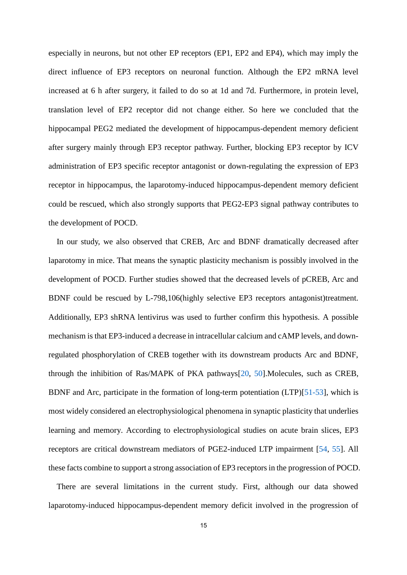especially in neurons, but not other EP receptors (EP1, EP2 and EP4), which may imply the direct influence of EP3 receptors on neuronal function. Although the EP2 mRNA level increased at 6 h after surgery, it failed to do so at 1d and 7d. Furthermore, in protein level, translation level of EP2 receptor did not change either. So here we concluded that the hippocampal PEG2 mediated the development of hippocampus-dependent memory deficient after surgery mainly through EP3 receptor pathway. Further, blocking EP3 receptor by ICV administration of EP3 specific receptor antagonist or down-regulating the expression of EP3 receptor in hippocampus, the laparotomy-induced hippocampus-dependent memory deficient could be rescued, which also strongly supports that PEG2-EP3 signal pathway contributes to the development of POCD.

In our study, we also observed that CREB, Arc and BDNF dramatically decreased after laparotomy in mice. That means the synaptic plasticity mechanism is possibly involved in the development of POCD. Further studies showed that the decreased levels of pCREB, Arc and BDNF could be rescued by L-798,106(highly selective EP3 receptors antagonist)treatment. Additionally, EP3 shRNA lentivirus was used to further confirm this hypothesis. A possible mechanism is that EP3-induced a decrease in intracellular calcium and cAMP levels, and downregulated phosphorylation of CREB together with its downstream products Arc and BDNF, through the inhibition of Ras/MAPK of PKA pathways[\[20,](#page-18-8) [50\]](#page-21-6).Molecules, such as CREB, BDNF and Arc, participate in the formation of long-term potentiation (LTP)[\[51-53\]](#page-21-7), which is most widely considered an electrophysiological phenomena in synaptic plasticity that underlies [learning](https://en.wikipedia.org/wiki/Learning) and memory. According to electrophysiological studies on acute brain slices, EP3 receptors are critical downstream mediators of PGE2-induced LTP impairment [\[54,](#page-22-0) [55\]](#page-22-1). All these facts combine to support a strong association of EP3 receptors in the progression of POCD.

There are several limitations in the current study. First, although our data showed laparotomy-induced hippocampus-dependent memory deficit involved in the progression of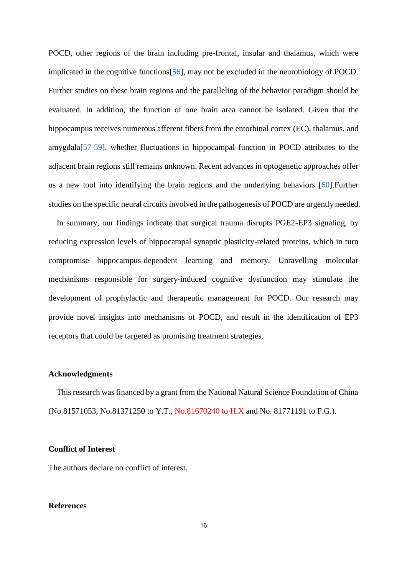POCD, other regions of the brain including pre-frontal, insular and thalamus, which were implicated in the cognitive functions[\[56\]](#page-22-2), may not be excluded in the neurobiology of POCD. Further studies on these brain regions and the paralleling of the behavior paradigm should be evaluated. In addition, the function of one brain area cannot be isolated. Given that the hippocampus receives numerous afferent fibers from the entorhinal cortex (EC), thalamus, and amygdala[\[57-59\]](#page-22-3), whether fluctuations in hippocampal function in POCD attributes to the adjacent brain regions still remains unknown. Recent advances in optogenetic approaches offer us a new tool into identifying the brain regions and the underlying behaviors [\[60\]](#page-22-4).Further studies on the specific neural circuits involved in the pathogenesis of POCD are urgently needed.

In summary, our findings indicate that surgical trauma disrupts PGE2-EP3 signaling, by reducing expression levels of hippocampal synaptic plasticity-related proteins, which in turn compromise hippocampus-dependent learning and memory. Unravelling molecular mechanisms responsible for surgery-induced cognitive dysfunction may stimulate the development of prophylactic and therapeutic management for POCD. Our research may provide novel insights into mechanisms of POCD, and result in the identification of EP3 receptors that could be targeted as promising treatment strategies.

#### **Acknowledgments**

This research was financed by a grant from the National Natural Science Foundation of China (No.81571053, No.81371250 to Y.T., No.81670240 to H.X and No. 81771191 to F.G.).

#### **Conflict of Interest**

The authors declare no conflict of interest.

#### **References**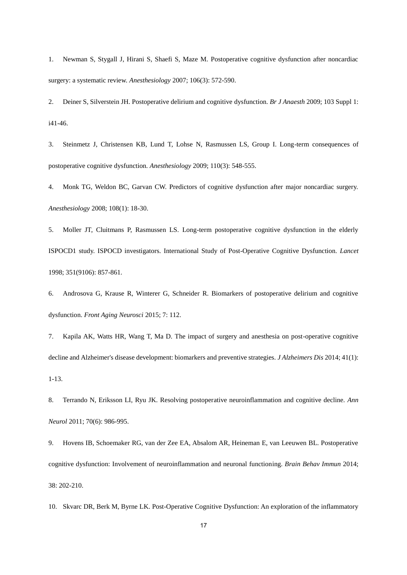<span id="page-17-0"></span>1. Newman S, Stygall J, Hirani S, Shaefi S, Maze M. Postoperative cognitive dysfunction after noncardiac surgery: a systematic review. *Anesthesiology* 2007; 106(3): 572-590.

<span id="page-17-1"></span>2. Deiner S, Silverstein JH. Postoperative delirium and cognitive dysfunction. *Br J Anaesth* 2009; 103 Suppl 1: i41-46.

<span id="page-17-2"></span>3. Steinmetz J, Christensen KB, Lund T, Lohse N, Rasmussen LS, Group I. Long-term consequences of postoperative cognitive dysfunction. *Anesthesiology* 2009; 110(3): 548-555.

4. Monk TG, Weldon BC, Garvan CW. Predictors of cognitive dysfunction after major noncardiac surgery. *Anesthesiology* 2008; 108(1): 18-30.

5. Moller JT, Cluitmans P, Rasmussen LS. Long-term postoperative cognitive dysfunction in the elderly ISPOCD1 study. ISPOCD investigators. International Study of Post-Operative Cognitive Dysfunction. *Lancet* 1998; 351(9106): 857-861.

<span id="page-17-3"></span>6. Androsova G, Krause R, Winterer G, Schneider R. Biomarkers of postoperative delirium and cognitive dysfunction. *Front Aging Neurosci* 2015; 7: 112.

<span id="page-17-4"></span>7. Kapila AK, Watts HR, Wang T, Ma D. The impact of surgery and anesthesia on post-operative cognitive decline and Alzheimer's disease development: biomarkers and preventive strategies. *J Alzheimers Dis* 2014; 41(1): 1-13.

<span id="page-17-5"></span>8. Terrando N, Eriksson LI, Ryu JK. Resolving postoperative neuroinflammation and cognitive decline. *Ann Neurol* 2011; 70(6): 986-995.

<span id="page-17-6"></span>9. Hovens IB, Schoemaker RG, van der Zee EA, Absalom AR, Heineman E, van Leeuwen BL. Postoperative cognitive dysfunction: Involvement of neuroinflammation and neuronal functioning. *Brain Behav Immun* 2014; 38: 202-210.

<span id="page-17-7"></span>10. Skvarc DR, Berk M, Byrne LK. Post-Operative Cognitive Dysfunction: An exploration of the inflammatory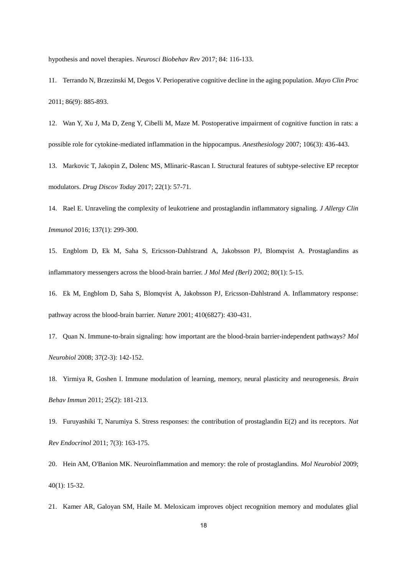hypothesis and novel therapies. *Neurosci Biobehav Rev* 2017; 84: 116-133.

<span id="page-18-0"></span>11. Terrando N, Brzezinski M, Degos V. Perioperative cognitive decline in the aging population. *Mayo Clin Proc* 2011; 86(9): 885-893.

<span id="page-18-1"></span>12. Wan Y, Xu J, Ma D, Zeng Y, Cibelli M, Maze M. Postoperative impairment of cognitive function in rats: a possible role for cytokine-mediated inflammation in the hippocampus. *Anesthesiology* 2007; 106(3): 436-443.

<span id="page-18-2"></span>13. Markovic T, Jakopin Z, Dolenc MS, Mlinaric-Rascan I. Structural features of subtype-selective EP receptor modulators. *Drug Discov Today* 2017; 22(1): 57-71.

<span id="page-18-3"></span>14. Rael E. Unraveling the complexity of leukotriene and prostaglandin inflammatory signaling. *J Allergy Clin Immunol* 2016; 137(1): 299-300.

<span id="page-18-4"></span>15. Engblom D, Ek M, Saha S, Ericsson-Dahlstrand A, Jakobsson PJ, Blomqvist A. Prostaglandins as inflammatory messengers across the blood-brain barrier. *J Mol Med (Berl)* 2002; 80(1): 5-15.

<span id="page-18-7"></span>16. Ek M, Engblom D, Saha S, Blomqvist A, Jakobsson PJ, Ericsson-Dahlstrand A. Inflammatory response: pathway across the blood-brain barrier. *Nature* 2001; 410(6827): 430-431.

17. Quan N. Immune-to-brain signaling: how important are the blood-brain barrier-independent pathways? *Mol Neurobiol* 2008; 37(2-3): 142-152.

<span id="page-18-5"></span>18. Yirmiya R, Goshen I. Immune modulation of learning, memory, neural plasticity and neurogenesis. *Brain Behav Immun* 2011; 25(2): 181-213.

19. Furuyashiki T, Narumiya S. Stress responses: the contribution of prostaglandin E(2) and its receptors. *Nat Rev Endocrinol* 2011; 7(3): 163-175.

<span id="page-18-8"></span>20. Hein AM, O'Banion MK. Neuroinflammation and memory: the role of prostaglandins. *Mol Neurobiol* 2009; 40(1): 15-32.

<span id="page-18-6"></span>21. Kamer AR, Galoyan SM, Haile M. Meloxicam improves object recognition memory and modulates glial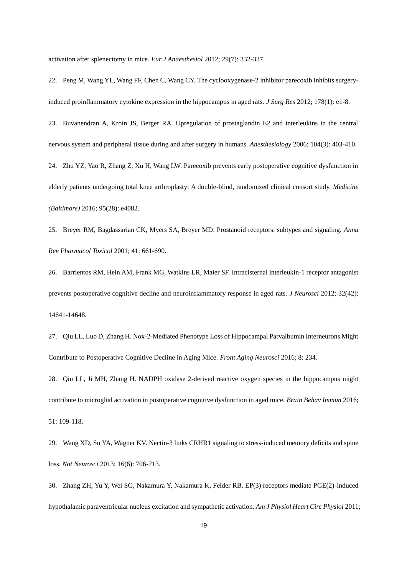activation after splenectomy in mice. *Eur J Anaesthesiol* 2012; 29(7): 332-337.

<span id="page-19-0"></span>22. Peng M, Wang YL, Wang FF, Chen C, Wang CY. The cyclooxygenase-2 inhibitor parecoxib inhibits surgeryinduced proinflammatory cytokine expression in the hippocampus in aged rats. *J Surg Res* 2012; 178(1): e1-8.

<span id="page-19-2"></span><span id="page-19-1"></span>23. Buvanendran A, Kroin JS, Berger RA. Upregulation of prostaglandin E2 and interleukins in the central nervous system and peripheral tissue during and after surgery in humans. *Anesthesiology* 2006; 104(3): 403-410. 24. Zhu YZ, Yao R, Zhang Z, Xu H, Wang LW. Parecoxib prevents early postoperative cognitive dysfunction in elderly patients undergoing total knee arthroplasty: A double-blind, randomized clinical consort study. *Medicine (Baltimore)* 2016; 95(28): e4082.

<span id="page-19-3"></span>25. Breyer RM, Bagdassarian CK, Myers SA, Breyer MD. Prostanoid receptors: subtypes and signaling. *Annu Rev Pharmacol Toxicol* 2001; 41: 661-690.

<span id="page-19-4"></span>26. Barrientos RM, Hein AM, Frank MG, Watkins LR, Maier SF. Intracisternal interleukin-1 receptor antagonist prevents postoperative cognitive decline and neuroinflammatory response in aged rats. *J Neurosci* 2012; 32(42): 14641-14648.

<span id="page-19-7"></span>27. Qiu LL, Luo D, Zhang H. Nox-2-Mediated Phenotype Loss of Hippocampal Parvalbumin Interneurons Might Contribute to Postoperative Cognitive Decline in Aging Mice. *Front Aging Neurosci* 2016; 8: 234.

<span id="page-19-8"></span>28. Qiu LL, Ji MH, Zhang H. NADPH oxidase 2-derived reactive oxygen species in the hippocampus might contribute to microglial activation in postoperative cognitive dysfunction in aged mice. *Brain Behav Immun* 2016; 51: 109-118.

<span id="page-19-5"></span>29. Wang XD, Su YA, Wagner KV. Nectin-3 links CRHR1 signaling to stress-induced memory deficits and spine loss. *Nat Neurosci* 2013; 16(6): 706-713.

<span id="page-19-6"></span>30. Zhang ZH, Yu Y, Wei SG, Nakamura Y, Nakamura K, Felder RB. EP(3) receptors mediate PGE(2)-induced hypothalamic paraventricular nucleus excitation and sympathetic activation. *Am J Physiol Heart Circ Physiol* 2011;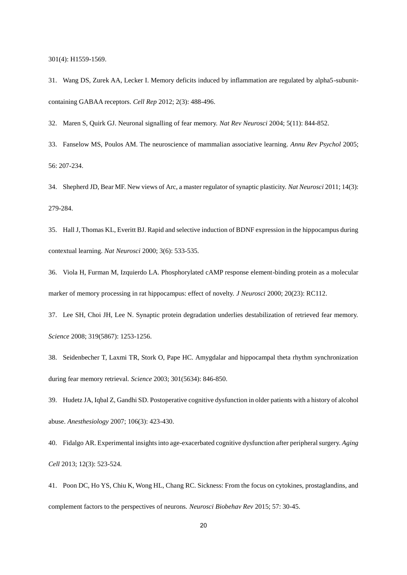301(4): H1559-1569.

<span id="page-20-0"></span>31. Wang DS, Zurek AA, Lecker I. Memory deficits induced by inflammation are regulated by alpha5-subunitcontaining GABAA receptors. *Cell Rep* 2012; 2(3): 488-496.

<span id="page-20-1"></span>32. Maren S, Quirk GJ. Neuronal signalling of fear memory. *Nat Rev Neurosci* 2004; 5(11): 844-852.

<span id="page-20-2"></span>33. Fanselow MS, Poulos AM. The neuroscience of mammalian associative learning. *Annu Rev Psychol* 2005; 56: 207-234.

<span id="page-20-3"></span>34. Shepherd JD, Bear MF. New views of Arc, a master regulator of synaptic plasticity. *Nat Neurosci* 2011; 14(3): 279-284.

35. Hall J, Thomas KL, Everitt BJ. Rapid and selective induction of BDNF expression in the hippocampus during contextual learning. *Nat Neurosci* 2000; 3(6): 533-535.

36. Viola H, Furman M, Izquierdo LA. Phosphorylated cAMP response element-binding protein as a molecular marker of memory processing in rat hippocampus: effect of novelty. *J Neurosci* 2000; 20(23): RC112.

<span id="page-20-4"></span>37. Lee SH, Choi JH, Lee N. Synaptic protein degradation underlies destabilization of retrieved fear memory. *Science* 2008; 319(5867): 1253-1256.

<span id="page-20-5"></span>38. Seidenbecher T, Laxmi TR, Stork O, Pape HC. Amygdalar and hippocampal theta rhythm synchronization during fear memory retrieval. *Science* 2003; 301(5634): 846-850.

<span id="page-20-6"></span>39. Hudetz JA, Iqbal Z, Gandhi SD. Postoperative cognitive dysfunction in older patients with a history of alcohol abuse. *Anesthesiology* 2007; 106(3): 423-430.

<span id="page-20-7"></span>40. Fidalgo AR. Experimental insights into age-exacerbated cognitive dysfunction after peripheral surgery. *Aging Cell* 2013; 12(3): 523-524.

<span id="page-20-8"></span>41. Poon DC, Ho YS, Chiu K, Wong HL, Chang RC. Sickness: From the focus on cytokines, prostaglandins, and complement factors to the perspectives of neurons. *Neurosci Biobehav Rev* 2015; 57: 30-45.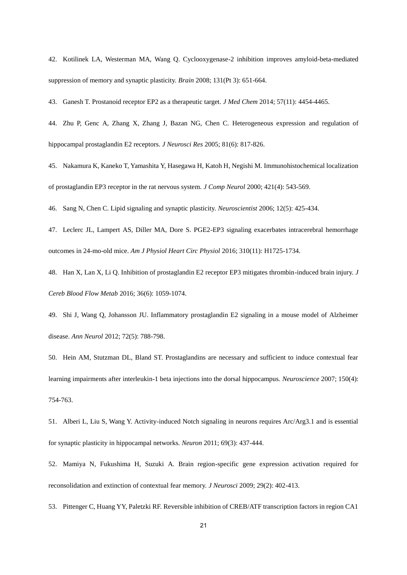<span id="page-21-0"></span>42. Kotilinek LA, Westerman MA, Wang Q. Cyclooxygenase-2 inhibition improves amyloid-beta-mediated suppression of memory and synaptic plasticity. *Brain* 2008; 131(Pt 3): 651-664.

<span id="page-21-1"></span>43. Ganesh T. Prostanoid receptor EP2 as a therapeutic target. *J Med Chem* 2014; 57(11): 4454-4465.

<span id="page-21-2"></span>44. Zhu P, Genc A, Zhang X, Zhang J, Bazan NG, Chen C. Heterogeneous expression and regulation of hippocampal prostaglandin E2 receptors. *J Neurosci Res* 2005; 81(6): 817-826.

<span id="page-21-3"></span>45. Nakamura K, Kaneko T, Yamashita Y, Hasegawa H, Katoh H, Negishi M. Immunohistochemical localization of prostaglandin EP3 receptor in the rat nervous system. *J Comp Neurol* 2000; 421(4): 543-569.

<span id="page-21-4"></span>46. Sang N, Chen C. Lipid signaling and synaptic plasticity. *Neuroscientist* 2006; 12(5): 425-434.

<span id="page-21-5"></span>47. Leclerc JL, Lampert AS, Diller MA, Dore S. PGE2-EP3 signaling exacerbates intracerebral hemorrhage outcomes in 24-mo-old mice. *Am J Physiol Heart Circ Physiol* 2016; 310(11): H1725-1734.

48. Han X, Lan X, Li Q. Inhibition of prostaglandin E2 receptor EP3 mitigates thrombin-induced brain injury. *J Cereb Blood Flow Metab* 2016; 36(6): 1059-1074.

49. Shi J, Wang Q, Johansson JU. Inflammatory prostaglandin E2 signaling in a mouse model of Alzheimer disease. *Ann Neurol* 2012; 72(5): 788-798.

<span id="page-21-6"></span>50. Hein AM, Stutzman DL, Bland ST. Prostaglandins are necessary and sufficient to induce contextual fear learning impairments after interleukin-1 beta injections into the dorsal hippocampus. *Neuroscience* 2007; 150(4): 754-763.

<span id="page-21-7"></span>51. Alberi L, Liu S, Wang Y. Activity-induced Notch signaling in neurons requires Arc/Arg3.1 and is essential for synaptic plasticity in hippocampal networks. *Neuron* 2011; 69(3): 437-444.

52. Mamiya N, Fukushima H, Suzuki A. Brain region-specific gene expression activation required for reconsolidation and extinction of contextual fear memory. *J Neurosci* 2009; 29(2): 402-413.

53. Pittenger C, Huang YY, Paletzki RF. Reversible inhibition of CREB/ATF transcription factors in region CA1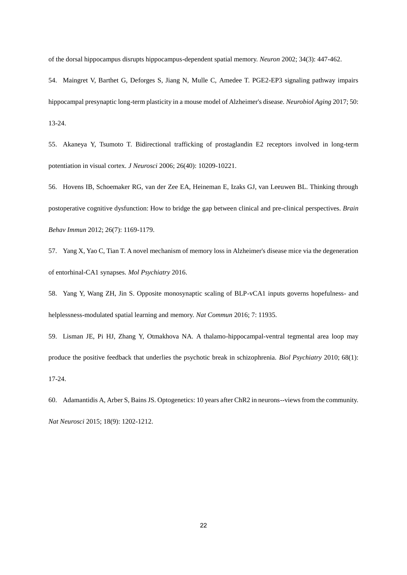of the dorsal hippocampus disrupts hippocampus-dependent spatial memory. *Neuron* 2002; 34(3): 447-462.

<span id="page-22-0"></span>54. Maingret V, Barthet G, Deforges S, Jiang N, Mulle C, Amedee T. PGE2-EP3 signaling pathway impairs hippocampal presynaptic long-term plasticity in a mouse model of Alzheimer's disease. *Neurobiol Aging* 2017; 50: 13-24.

<span id="page-22-1"></span>55. Akaneya Y, Tsumoto T. Bidirectional trafficking of prostaglandin E2 receptors involved in long-term potentiation in visual cortex. *J Neurosci* 2006; 26(40): 10209-10221.

<span id="page-22-2"></span>56. Hovens IB, Schoemaker RG, van der Zee EA, Heineman E, Izaks GJ, van Leeuwen BL. Thinking through postoperative cognitive dysfunction: How to bridge the gap between clinical and pre-clinical perspectives. *Brain Behav Immun* 2012; 26(7): 1169-1179.

<span id="page-22-3"></span>57. Yang X, Yao C, Tian T. A novel mechanism of memory loss in Alzheimer's disease mice via the degeneration of entorhinal-CA1 synapses. *Mol Psychiatry* 2016.

58. Yang Y, Wang ZH, Jin S. Opposite monosynaptic scaling of BLP-vCA1 inputs governs hopefulness- and helplessness-modulated spatial learning and memory. *Nat Commun* 2016; 7: 11935.

59. Lisman JE, Pi HJ, Zhang Y, Otmakhova NA. A thalamo-hippocampal-ventral tegmental area loop may produce the positive feedback that underlies the psychotic break in schizophrenia. *Biol Psychiatry* 2010; 68(1): 17-24.

<span id="page-22-4"></span>60. Adamantidis A, Arber S, Bains JS. Optogenetics: 10 years after ChR2 in neurons--views from the community. *Nat Neurosci* 2015; 18(9): 1202-1212.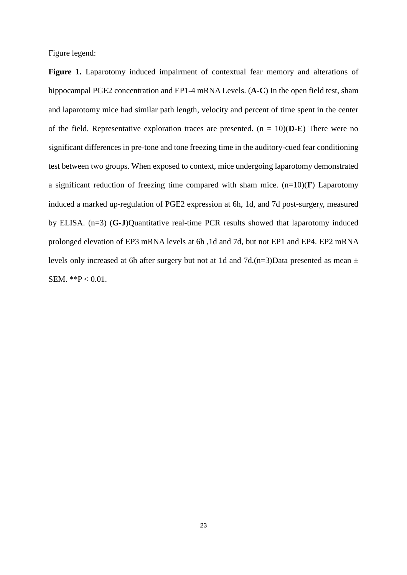Figure legend:

**Figure 1.** Laparotomy induced impairment of contextual fear memory and alterations of hippocampal PGE2 concentration and EP1-4 mRNA Levels. (**A-C**) In the open field test, sham and laparotomy mice had similar path length, velocity and percent of time spent in the center of the field. Representative exploration traces are presented.  $(n = 10)(D-E)$  There were no significant differences in pre-tone and tone freezing time in the auditory-cued fear conditioning test between two groups. When exposed to context, mice undergoing laparotomy demonstrated a significant reduction of freezing time compared with sham mice. (n=10)(**F**) Laparotomy induced a marked up-regulation of PGE2 expression at 6h, 1d, and 7d post-surgery, measured by ELISA. (n=3) (**G-J**)Quantitative real-time PCR results showed that laparotomy induced prolonged elevation of EP3 mRNA levels at 6h ,1d and 7d, but not EP1 and EP4. EP2 mRNA levels only increased at 6h after surgery but not at 1d and 7d.(n=3)Data presented as mean  $\pm$ SEM. \*\*P < 0.01.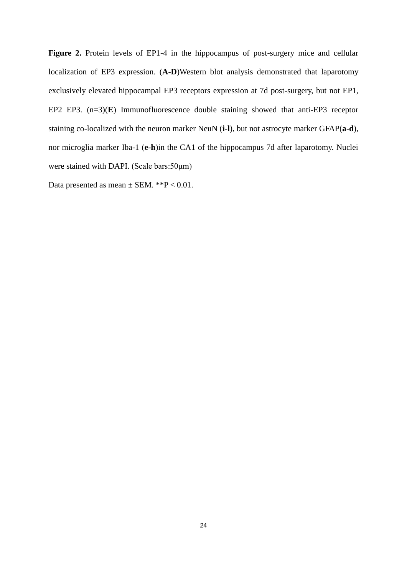Figure 2. Protein levels of EP1-4 in the hippocampus of post-surgery mice and cellular localization of EP3 expression. (**A-D**)Western blot analysis demonstrated that laparotomy exclusively elevated hippocampal EP3 receptors expression at 7d post-surgery, but not EP1, EP2 EP3.  $(n=3)(E)$  Immunofluorescence double staining showed that anti-EP3 receptor staining co-localized with the neuron marker NeuN (**i-l**), but not astrocyte marker GFAP(**a-d**), nor microglia marker Iba-1 (**e-h**)in the CA1 of the hippocampus 7d after laparotomy. Nuclei were stained with DAPI. (Scale bars:50μm)

Data presented as mean  $\pm$  SEM. \*\*P < 0.01.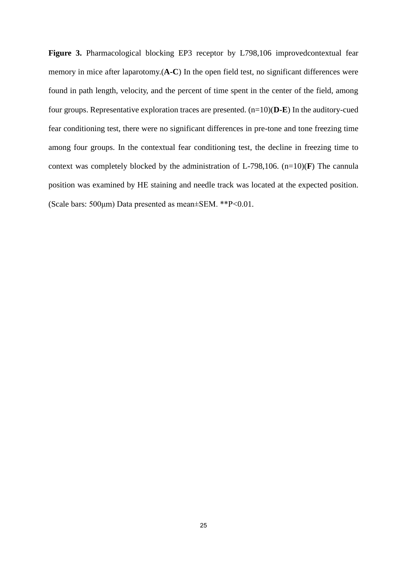**Figure 3.** Pharmacological blocking EP3 receptor by L798,106 improvedcontextual fear memory in mice after laparotomy.(**A-C**) In the open field test, no significant differences were found in path length, velocity, and the percent of time spent in the center of the field, among four groups. Representative exploration traces are presented. (n=10)(**D-E**) In the auditory-cued fear conditioning test, there were no significant differences in pre-tone and tone freezing time among four groups. In the contextual fear conditioning test, the decline in freezing time to context was completely blocked by the administration of L-798,106. (n=10)(**F**) The cannula position was examined by HE staining and needle track was located at the expected position. (Scale bars: 500μm) Data presented as mean±SEM. \*\*P<0.01.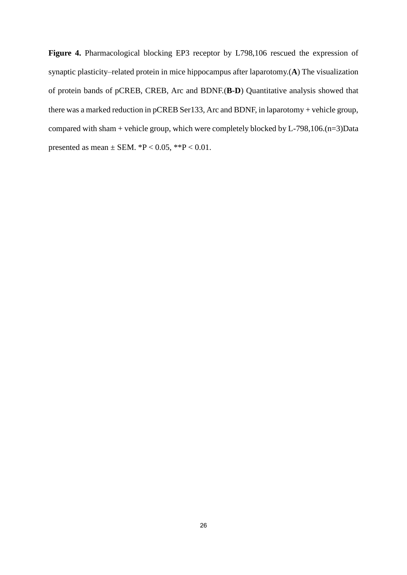**Figure 4.** Pharmacological blocking EP3 receptor by L798,106 rescued the expression of synaptic plasticity–related protein in mice hippocampus after laparotomy.(**A**) The visualization of protein bands of pCREB, CREB, Arc and BDNF.(**B-D**) Quantitative analysis showed that there was a marked reduction in pCREB Ser133, Arc and BDNF, in laparotomy + vehicle group, compared with sham + vehicle group, which were completely blocked by L-798,106.(n=3)Data presented as mean  $\pm$  SEM.  $^{*}P$  < 0.05,  $^{*}P$  < 0.01.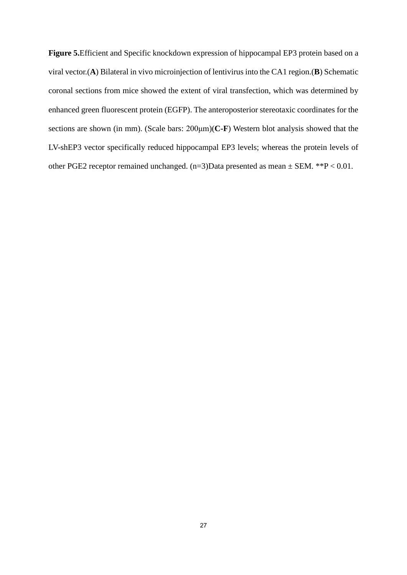**Figure 5.**Efficient and Specific knockdown expression of hippocampal EP3 protein based on a viral vector.(**A**) Bilateral in vivo microinjection of lentivirus into the CA1 region.(**B**) Schematic coronal sections from mice showed the extent of viral transfection, which was determined by enhanced green fluorescent protein (EGFP). The anteroposterior stereotaxic coordinates for the sections are shown (in mm). (Scale bars: 200μm)(**C-F**) Western blot analysis showed that the LV-shEP3 vector specifically reduced hippocampal EP3 levels; whereas the protein levels of other PGE2 receptor remained unchanged.  $(n=3)$ Data presented as mean  $\pm$  SEM. \*\*P < 0.01.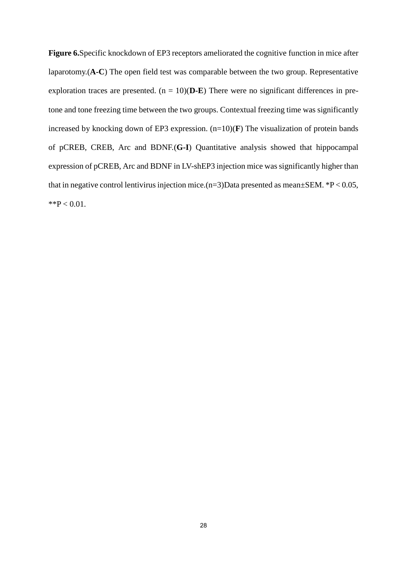**Figure 6.**Specific knockdown of EP3 receptors ameliorated the cognitive function in mice after laparotomy.(**A-C**) The open field test was comparable between the two group. Representative exploration traces are presented.  $(n = 10)(D-E)$  There were no significant differences in pretone and tone freezing time between the two groups. Contextual freezing time was significantly increased by knocking down of EP3 expression. (n=10)(**F**) The visualization of protein bands of pCREB, CREB, Arc and BDNF.(**G-I**) Quantitative analysis showed that hippocampal expression of pCREB, Arc and BDNF in LV-shEP3 injection mice was significantly higher than that in negative control lentivirus injection mice. $(n=3)$ Data presented as mean $\pm$ SEM. \*P < 0.05,  $*$  $P$  < 0.01.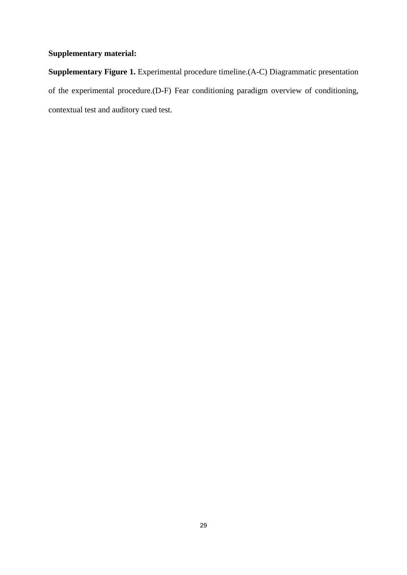## **Supplementary material:**

**Supplementary Figure 1.** Experimental procedure timeline.(A-C) Diagrammatic presentation of the experimental procedure.(D-F) Fear conditioning paradigm overview of conditioning, contextual test and auditory cued test.